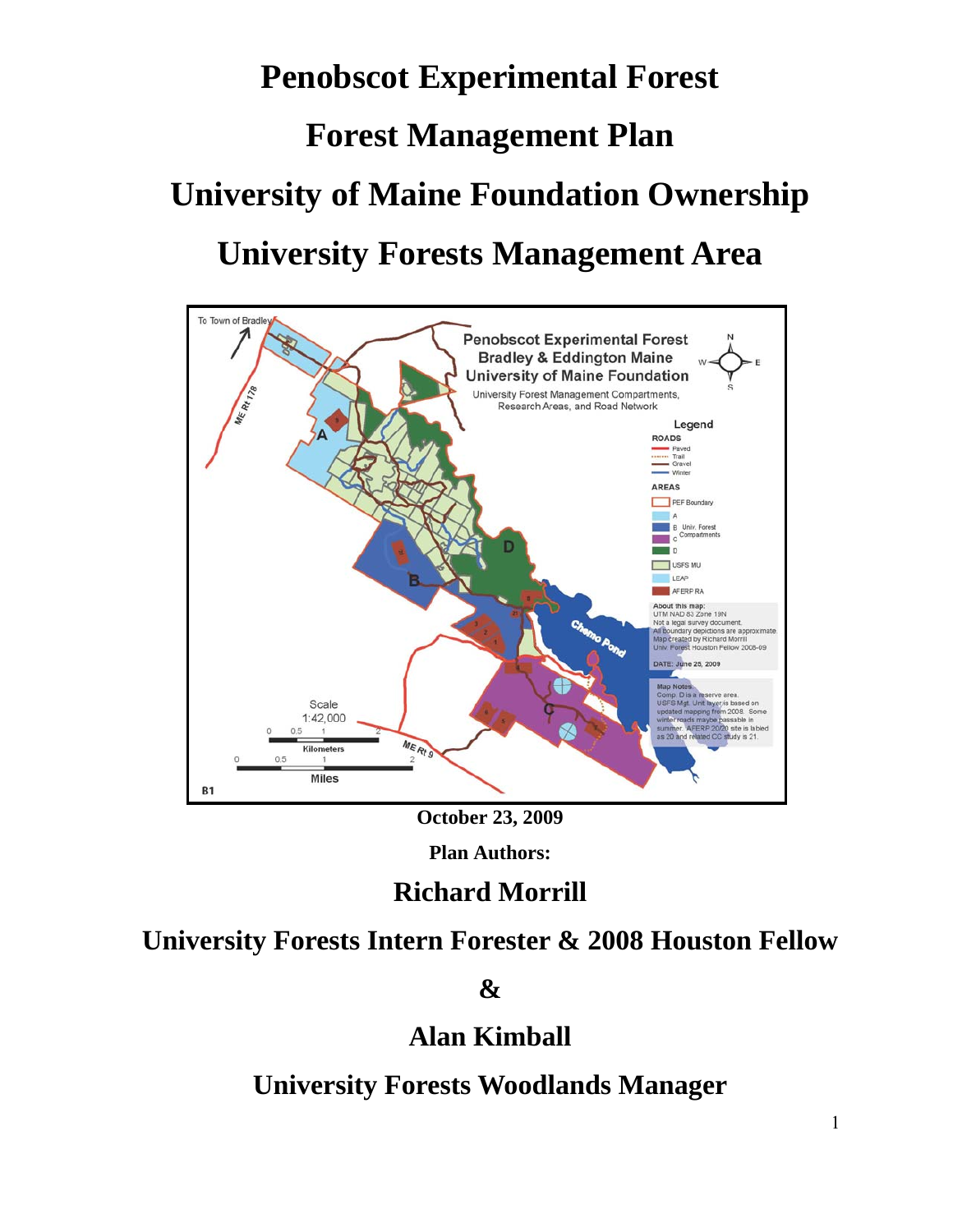# **Penobscot Experimental Forest Forest Management Plan University of Maine Foundation Ownership University Forests Management Area**



**October 23, 2009** 

**Plan Authors:** 

# **Richard Morrill**

# **University Forests Intern Forester & 2008 Houston Fellow**

**&** 

# **Alan Kimball**

**University Forests Woodlands Manager**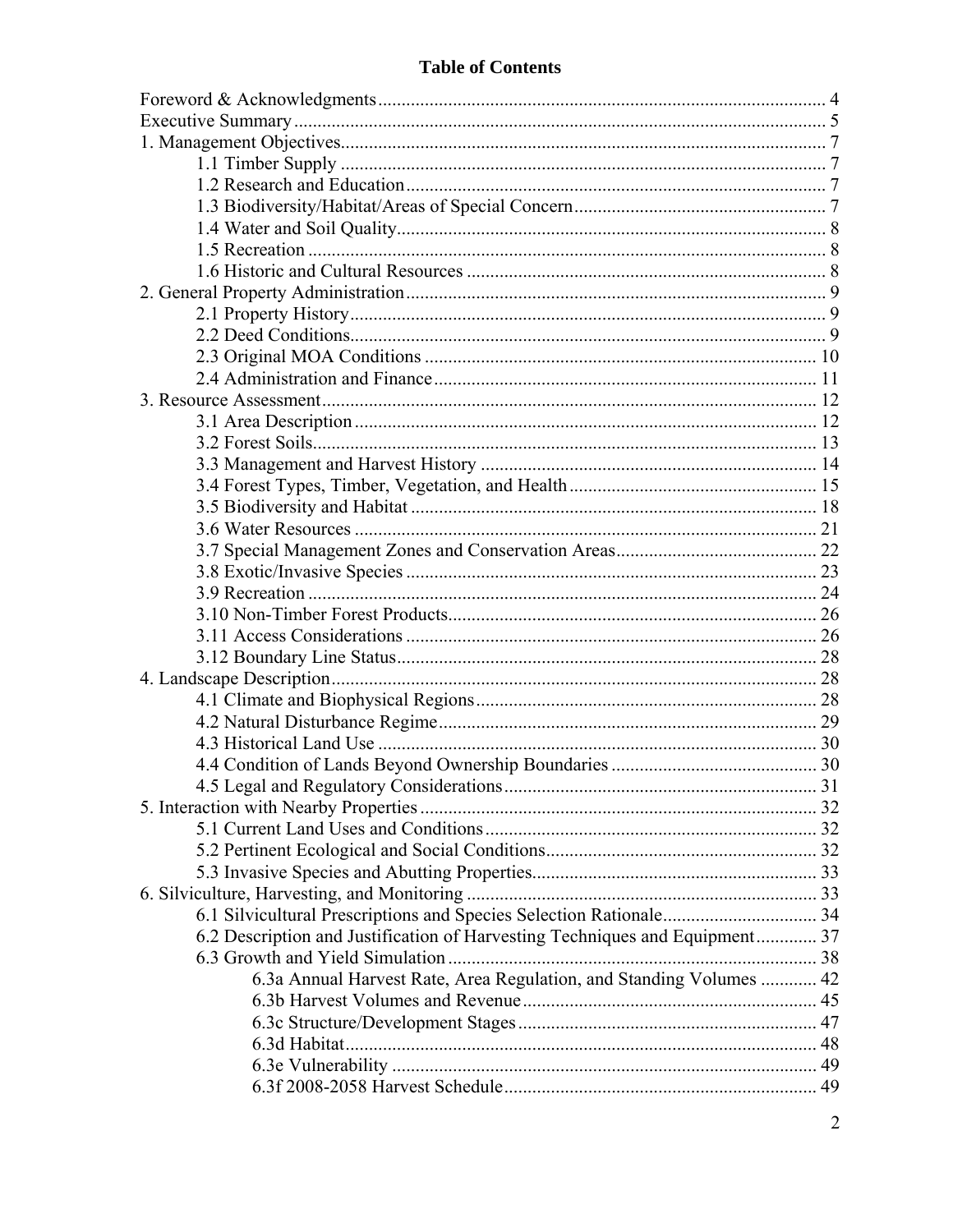### **Table of Contents**

| 6.2 Description and Justification of Harvesting Techniques and Equipment 37 |  |
|-----------------------------------------------------------------------------|--|
|                                                                             |  |
| 6.3a Annual Harvest Rate, Area Regulation, and Standing Volumes  42         |  |
|                                                                             |  |
|                                                                             |  |
|                                                                             |  |
|                                                                             |  |
|                                                                             |  |
|                                                                             |  |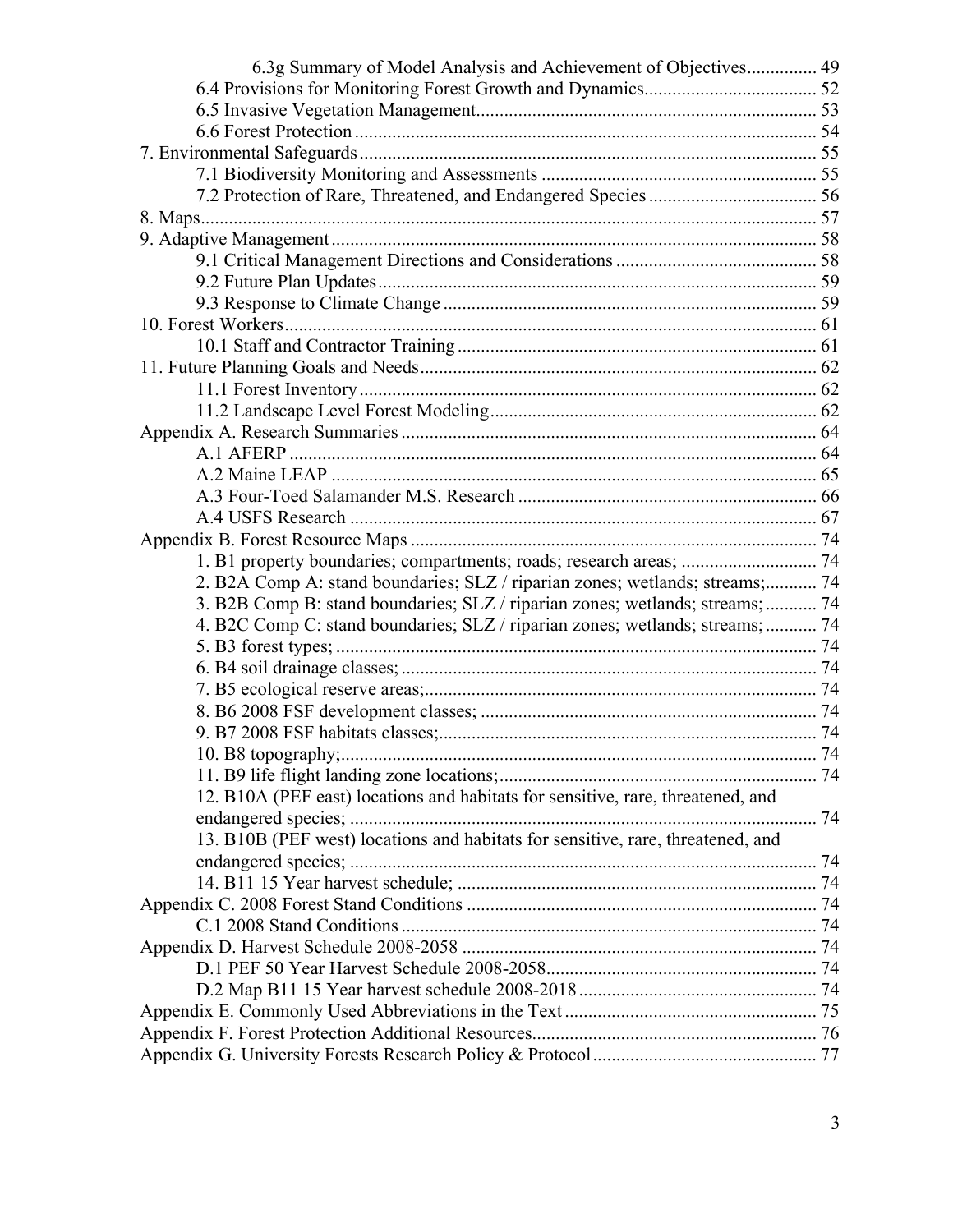| 6.3g Summary of Model Analysis and Achievement of Objectives 49                 |  |
|---------------------------------------------------------------------------------|--|
|                                                                                 |  |
|                                                                                 |  |
|                                                                                 |  |
|                                                                                 |  |
|                                                                                 |  |
|                                                                                 |  |
|                                                                                 |  |
|                                                                                 |  |
|                                                                                 |  |
|                                                                                 |  |
|                                                                                 |  |
|                                                                                 |  |
|                                                                                 |  |
|                                                                                 |  |
|                                                                                 |  |
|                                                                                 |  |
|                                                                                 |  |
|                                                                                 |  |
|                                                                                 |  |
|                                                                                 |  |
|                                                                                 |  |
|                                                                                 |  |
| 1. B1 property boundaries; compartments; roads; research areas;  74             |  |
| 2. B2A Comp A: stand boundaries; SLZ / riparian zones; wetlands; streams; 74    |  |
| 3. B2B Comp B: stand boundaries; SLZ / riparian zones; wetlands; streams;  74   |  |
| 4. B2C Comp C: stand boundaries; SLZ / riparian zones; wetlands; streams;  74   |  |
|                                                                                 |  |
|                                                                                 |  |
|                                                                                 |  |
|                                                                                 |  |
|                                                                                 |  |
|                                                                                 |  |
|                                                                                 |  |
| 12. B10A (PEF east) locations and habitats for sensitive, rare, threatened, and |  |
|                                                                                 |  |
| 13. B10B (PEF west) locations and habitats for sensitive, rare, threatened, and |  |
|                                                                                 |  |
|                                                                                 |  |
|                                                                                 |  |
|                                                                                 |  |
|                                                                                 |  |
|                                                                                 |  |
|                                                                                 |  |
|                                                                                 |  |
|                                                                                 |  |
|                                                                                 |  |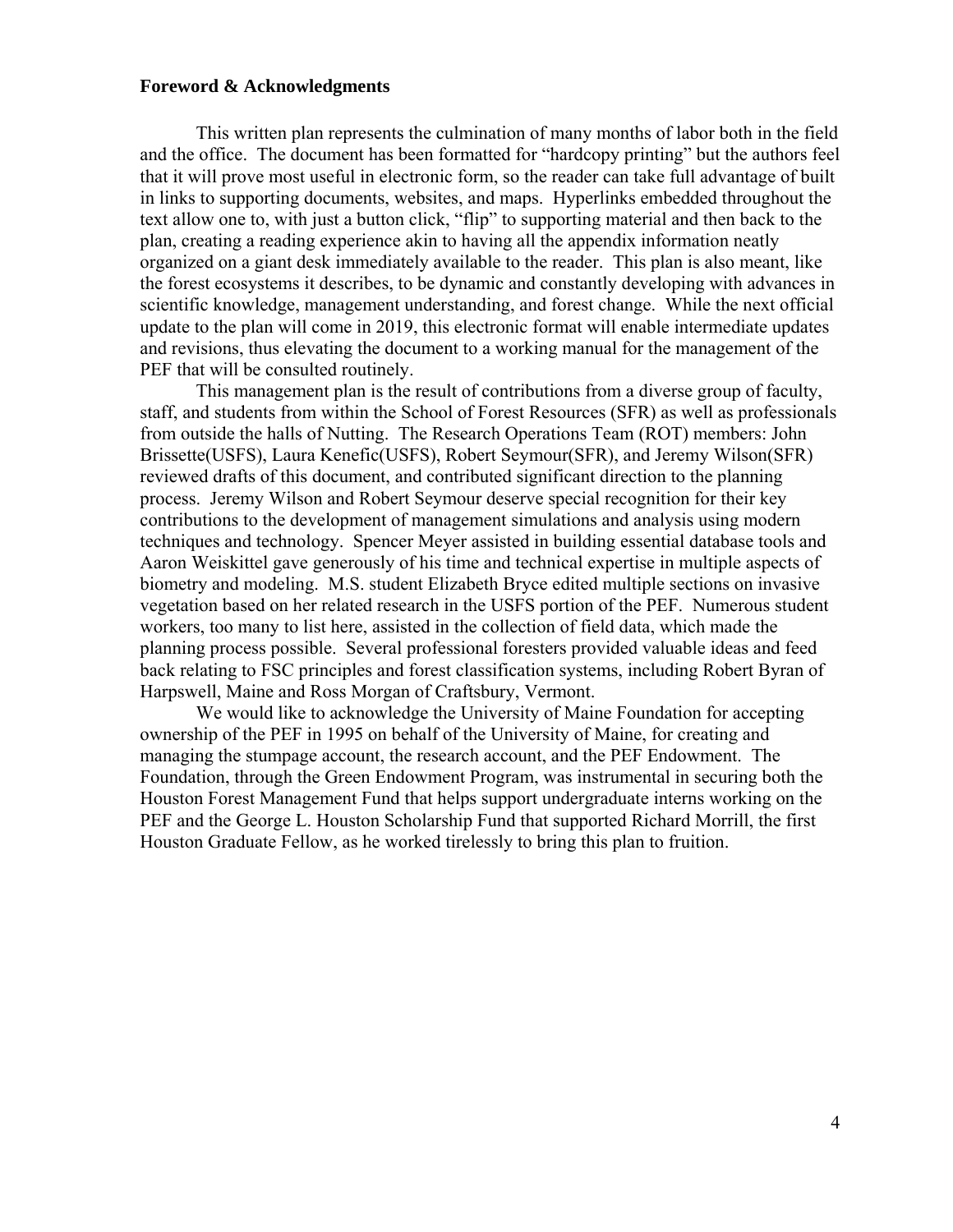#### <span id="page-3-0"></span>**Foreword & Acknowledgments**

This written plan represents the culmination of many months of labor both in the field and the office. The document has been formatted for "hardcopy printing" but the authors feel that it will prove most useful in electronic form, so the reader can take full advantage of built in links to supporting documents, websites, and maps. Hyperlinks embedded throughout the text allow one to, with just a button click, "flip" to supporting material and then back to the plan, creating a reading experience akin to having all the appendix information neatly organized on a giant desk immediately available to the reader. This plan is also meant, like the forest ecosystems it describes, to be dynamic and constantly developing with advances in scientific knowledge, management understanding, and forest change. While the next official update to the plan will come in 2019, this electronic format will enable intermediate updates and revisions, thus elevating the document to a working manual for the management of the PEF that will be consulted routinely.

 This management plan is the result of contributions from a diverse group of faculty, staff, and students from within the School of Forest Resources (SFR) as well as professionals from outside the halls of Nutting. The Research Operations Team (ROT) members: John Brissette(USFS), Laura Kenefic(USFS), Robert Seymour(SFR), and Jeremy Wilson(SFR) reviewed drafts of this document, and contributed significant direction to the planning process. Jeremy Wilson and Robert Seymour deserve special recognition for their key contributions to the development of management simulations and analysis using modern techniques and technology. Spencer Meyer assisted in building essential database tools and Aaron Weiskittel gave generously of his time and technical expertise in multiple aspects of biometry and modeling. M.S. student Elizabeth Bryce edited multiple sections on invasive vegetation based on her related research in the USFS portion of the PEF. Numerous student workers, too many to list here, assisted in the collection of field data, which made the planning process possible. Several professional foresters provided valuable ideas and feed back relating to FSC principles and forest classification systems, including Robert Byran of Harpswell, Maine and Ross Morgan of Craftsbury, Vermont.

We would like to acknowledge the University of Maine Foundation for accepting ownership of the PEF in 1995 on behalf of the University of Maine, for creating and managing the stumpage account, the research account, and the PEF Endowment. The Foundation, through the Green Endowment Program, was instrumental in securing both the Houston Forest Management Fund that helps support undergraduate interns working on the PEF and the George L. Houston Scholarship Fund that supported Richard Morrill, the first Houston Graduate Fellow, as he worked tirelessly to bring this plan to fruition.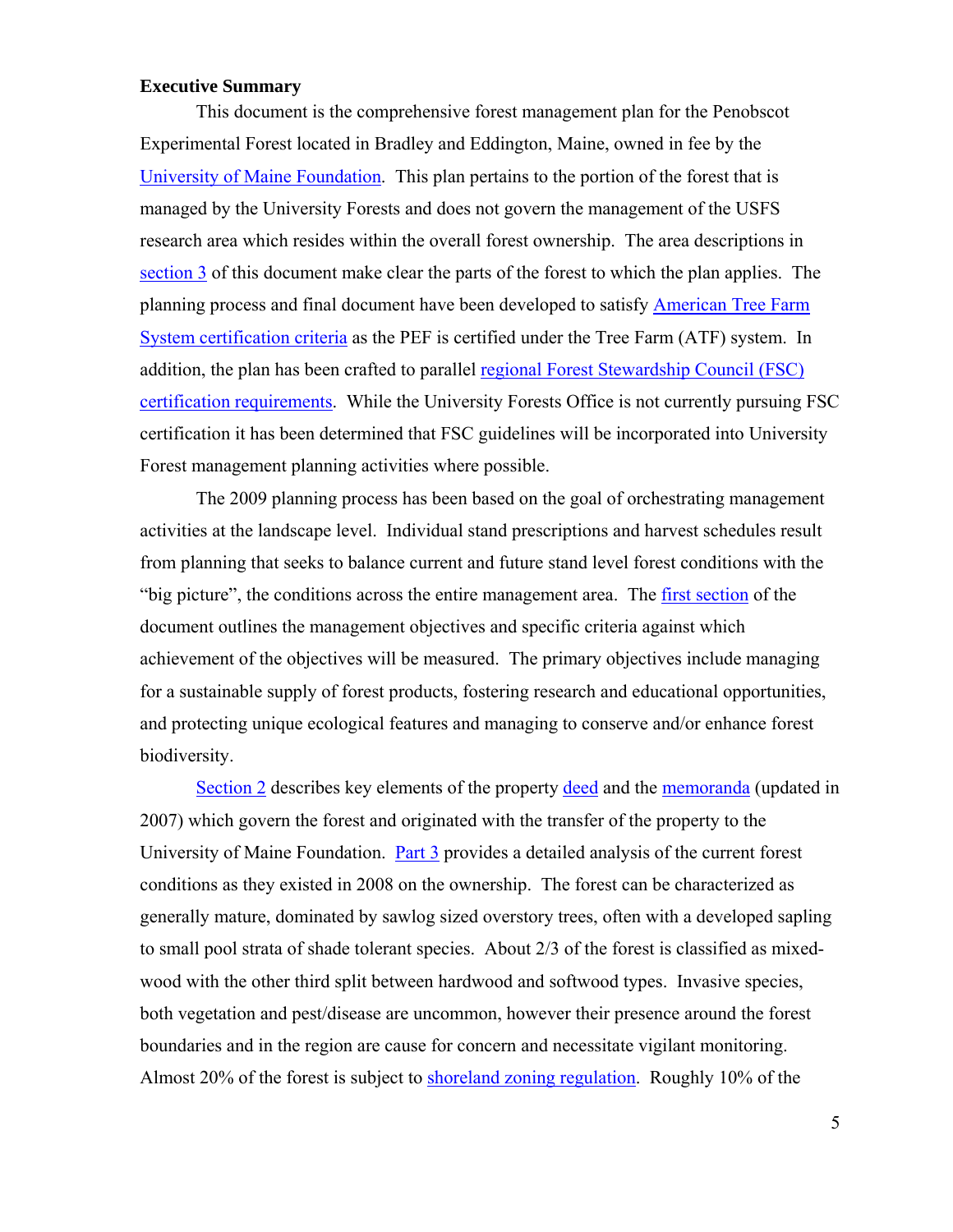#### <span id="page-4-0"></span>**Executive Summary**

This document is the comprehensive forest management plan for the Penobscot Experimental Forest located in Bradley and Eddington, Maine, owned in fee by the [University of Maine Foundation.](http://www.umainefoundation.org/) This plan pertains to the portion of the forest that is managed by the University Forests and does not govern the management of the USFS research area which resides within the overall forest ownership. The area descriptions in section 3 of this document make clear the parts of the forest to which the plan applies. The planning process and final document have been developed to satisfy [American Tree Farm](http://65.109.144.60/cms/test/26_34.html)  [System certification criteria](http://65.109.144.60/cms/test/26_34.html) as the PEF is certified under the Tree Farm (ATF) system. In addition, the plan has been crafted to parallel regional Forest Stewardship Council (FSC) certification requirements. While the University Forests Office is not currently pursuing FSC certification it has been determined that FSC guidelines will be incorporated into University Forest management planning activities where possible.

 The 2009 planning process has been based on the goal of orchestrating management activities at the landscape level. Individual stand prescriptions and harvest schedules result from planning that seeks to balance current and future stand level forest conditions with the "big picture", the conditions across the entire management area. The [first section](#page-6-0) of the document outlines the management objectives and specific criteria against which achievement of the objectives will be measured. The primary objectives include managing for a sustainable supply of forest products, fostering research and educational opportunities, and protecting unique ecological features and managing to conserve and/or enhance forest biodiversity.

Section 2 describes key elements of the property deed and the memoranda (updated in 2007) which govern the forest and originated with the transfer of the property to the University of Maine Foundation. Part 3 provides a detailed analysis of the current forest conditions as they existed in 2008 on the ownership. The forest can be characterized as generally mature, dominated by sawlog sized overstory trees, often with a developed sapling to small pool strata of shade tolerant species. About 2/3 of the forest is classified as mixedwood with the other third split between hardwood and softwood types. Invasive species, both vegetation and pest/disease are uncommon, however their presence around the forest boundaries and in the region are cause for concern and necessitate vigilant monitoring. Almost 20% of the forest is subject to shoreland zoning regulation. Roughly 10% of the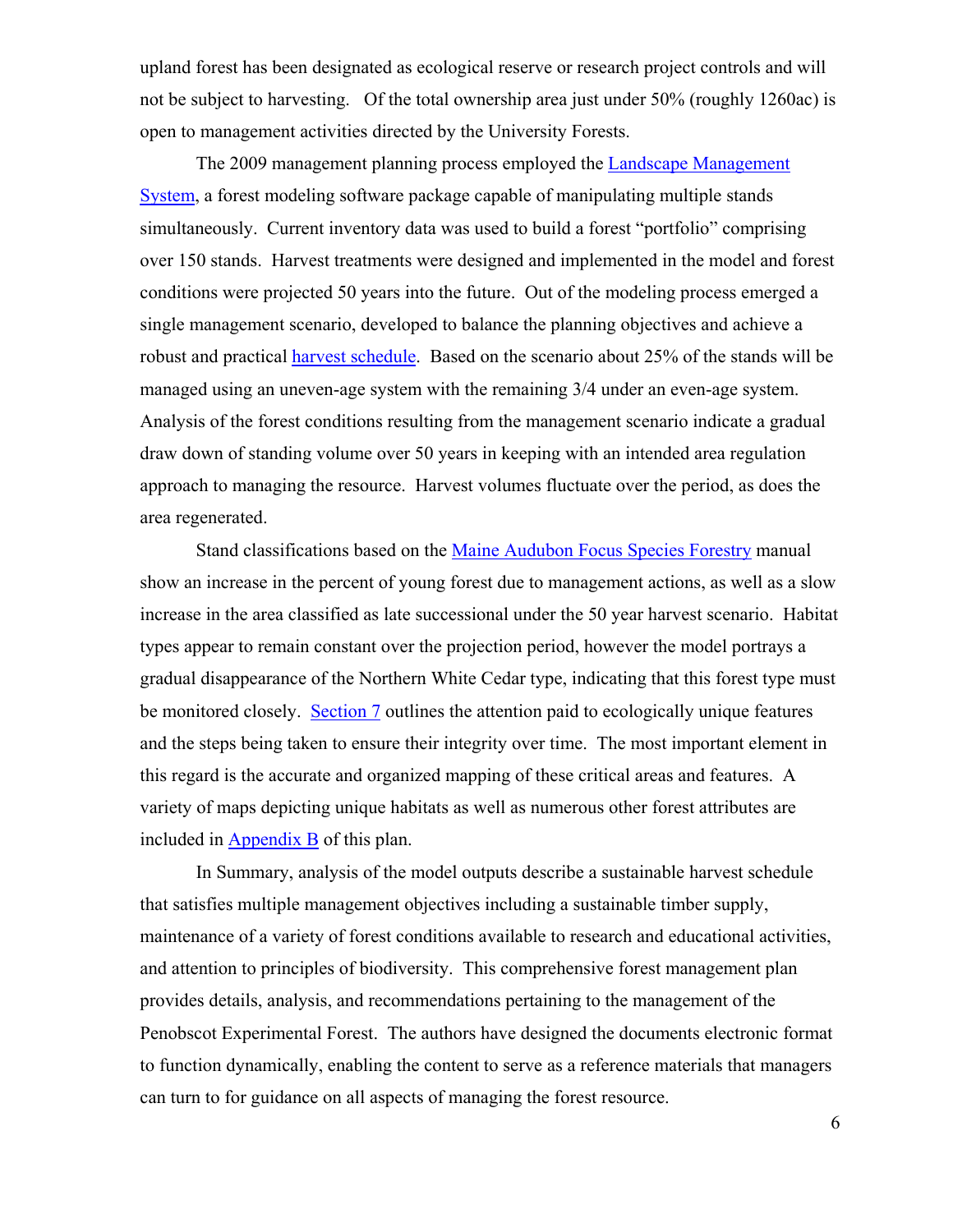upland forest has been designated as ecological reserve or research project controls and will not be subject to harvesting. Of the total ownership area just under 50% (roughly 1260ac) is open to management activities directed by the University Forests.

 The 2009 management planning process employed the [Landscape Management](http://lms.cfr.washington.edu/lms.html)  [System](http://lms.cfr.washington.edu/lms.html), a forest modeling software package capable of manipulating multiple stands simultaneously. Current inventory data was used to build a forest "portfolio" comprising over 150 stands. Harvest treatments were designed and implemented in the model and forest conditions were projected 50 years into the future. Out of the modeling process emerged a single management scenario, developed to balance the planning objectives and achieve a robust and practical harvest schedule. Based on the scenario about 25% of the stands will be managed using an uneven-age system with the remaining 3/4 under an even-age system. Analysis of the forest conditions resulting from the management scenario indicate a gradual draw down of standing volume over 50 years in keeping with an intended area regulation approach to managing the resource. Harvest volumes fluctuate over the period, as does the area regenerated.

Stand classifications based on the Maine Audubon Focus Species Forestry manual show an increase in the percent of young forest due to management actions, as well as a slow increase in the area classified as late successional under the 50 year harvest scenario. Habitat types appear to remain constant over the projection period, however the model portrays a gradual disappearance of the Northern White Cedar type, indicating that this forest type must be monitored closely. Section 7 outlines the attention paid to ecologically unique features and the steps being taken to ensure their integrity over time. The most important element in this regard is the accurate and organized mapping of these critical areas and features. A variety of maps depicting unique habitats as well as numerous other forest attributes are included in Appendix B of this plan.

In Summary, analysis of the model outputs describe a sustainable harvest schedule that satisfies multiple management objectives including a sustainable timber supply, maintenance of a variety of forest conditions available to research and educational activities, and attention to principles of biodiversity. This comprehensive forest management plan provides details, analysis, and recommendations pertaining to the management of the Penobscot Experimental Forest. The authors have designed the documents electronic format to function dynamically, enabling the content to serve as a reference materials that managers can turn to for guidance on all aspects of managing the forest resource.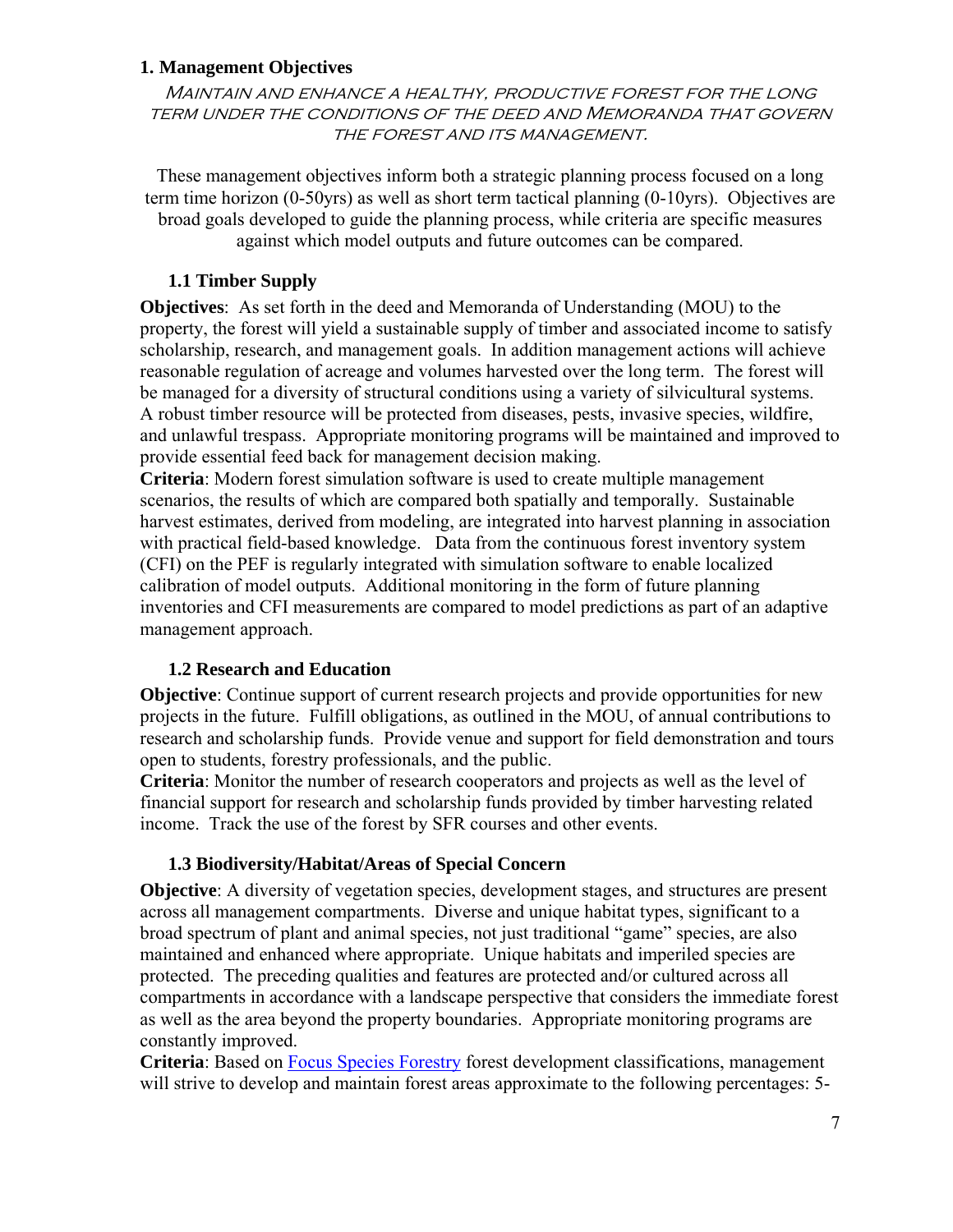#### <span id="page-6-0"></span>**1. Management Objectives**

Maintain and enhance a healthy, productive forest for the long term under the conditions of the deed and Memoranda that govern THE FOREST AND ITS MANAGEMENT.

These management objectives inform both a strategic planning process focused on a long term time horizon (0-50yrs) as well as short term tactical planning (0-10yrs). Objectives are broad goals developed to guide the planning process, while criteria are specific measures against which model outputs and future outcomes can be compared.

#### **1.1 Timber Supply**

<span id="page-6-1"></span>**Objectives**: As set forth in the deed and Memoranda of Understanding (MOU) to the property, the forest will yield a sustainable supply of timber and associated income to satisfy scholarship, research, and management goals. In addition management actions will achieve reasonable regulation of acreage and volumes harvested over the long term. The forest will be managed for a diversity of structural conditions using a variety of silvicultural systems. A robust timber resource will be protected from diseases, pests, invasive species, wildfire, and unlawful trespass. Appropriate monitoring programs will be maintained and improved to provide essential feed back for management decision making.

**Criteria**: Modern forest simulation software is used to create multiple management scenarios, the results of which are compared both spatially and temporally. Sustainable harvest estimates, derived from modeling, are integrated into harvest planning in association with practical field-based knowledge. Data from the continuous forest inventory system (CFI) on the PEF is regularly integrated with simulation software to enable localized calibration of model outputs. Additional monitoring in the form of future planning inventories and CFI measurements are compared to model predictions as part of an adaptive management approach.

#### **1.2 Research and Education**

<span id="page-6-2"></span>**Objective**: Continue support of current research projects and provide opportunities for new projects in the future. Fulfill obligations, as outlined in the MOU, of annual contributions to research and scholarship funds. Provide venue and support for field demonstration and tours open to students, forestry professionals, and the public.

**Criteria**: Monitor the number of research cooperators and projects as well as the level of financial support for research and scholarship funds provided by timber harvesting related income. Track the use of the forest by SFR courses and other events.

#### **1.3 Biodiversity/Habitat/Areas of Special Concern**

<span id="page-6-3"></span>**Objective**: A diversity of vegetation species, development stages, and structures are present across all management compartments. Diverse and unique habitat types, significant to a broad spectrum of plant and animal species, not just traditional "game" species, are also maintained and enhanced where appropriate. Unique habitats and imperiled species are protected. The preceding qualities and features are protected and/or cultured across all compartments in accordance with a landscape perspective that considers the immediate forest as well as the area beyond the property boundaries. Appropriate monitoring programs are constantly improved.

**Criteria**: Based on Focus Species Forestry forest development classifications, management will strive to develop and maintain forest areas approximate to the following percentages: 5-